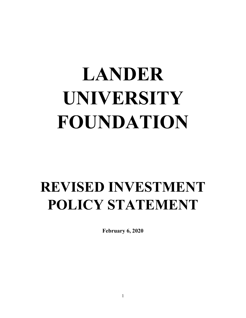# **LANDER UNIVERSITY FOUNDATION**

# **REVISED INVESTMENT POLICY STATEMENT**

**February 6, 2020**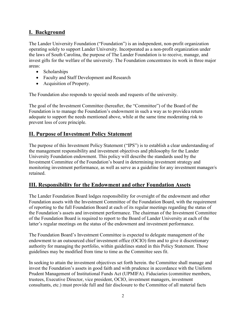# **I. Background**

The Lander University Foundation ("Foundation") is an independent, non-profit organization operating solely to support Lander University. Incorporated as a non-profit organization under the laws of South Carolina, the purpose of The Lander Foundation is to receive, manage, and invest gifts for the welfare of the university. The Foundation concentrates its work in three major areas:

- Scholarships
- Faculty and Staff Development and Research
- Acquisition of Property.

The Foundation also responds to special needs and requests of the university.

The goal of the Investment Committee (hereafter, the "Committee") of the Board of the Foundation is to manage the Foundation's endowment in such a way as to providea return adequate to support the needs mentioned above, while at the same time moderating risk to prevent loss of core principle.

# **II. Purpose of Investment Policy Statement**

The purpose of this Investment Policy Statement ("IPS") is to establish a clear understanding of the management responsibility and investment objectives and philosophy for the Lander University Foundation endowment. This policy will describe the standards used by the Investment Committee of the Foundation's board in determining investment strategy and monitoring investment performance, as well as serve as a guideline for any investment manager/s retained.

# **III. Responsibility for the Endowment and other Foundation Assets**

The Lander Foundation Board lodges responsibility for oversight of the endowment and other Foundation assets with the Investment Committee of the Foundation Board, with the requirement of reporting to the full Foundation Board at each of its regular meetings regarding the status of the Foundation's assets and investment performance. The chairman of the Investment Committee of the Foundation Board is required to report to the Board of Lander University at each of the latter's regular meetings on the status of the endowment and investment performance.

The Foundation Board's Investment Committee is expected to delegate management of the endowment to an outsourced chief investment office (OCIO) firm and to give it discretionary authority for managing the portfolio, within guidelines stated in this Policy Statement. Those guidelines may be modified from time to time as the Committee sees fit.

In seeking to attain the investment objectives set forth herein. the Committee shall manage and invest the Foundation's assets in good faith and with prudence in accordance with the Uniform Prudent Management of Institutional Funds Act (UPMIFA). Fiduciaries (committee members, trustees, Executive Director, vice president, OCIO, investment managers, investment consultants, etc.) must provide full and fair disclosure to the Committee of all material facts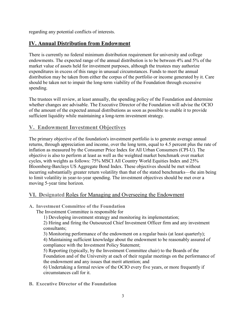regarding any potential conflicts of interests.

# **IV. Annual Distribution from Endowment**

There is currently no federal minimum distribution requirement for university and college endowments. The expected range of the annual distribution is to be between 4% and 5% of the market value of assets held for investment purposes, although the trustees may authorize expenditures in excess of this range in unusual circumstances. Funds to meet the annual distribution may be taken from either the corpus of the portfolio or income generated by it. Care should be taken not to impair the long-term viability of the Foundation through excessive spending.

The trustees will review, at least annually, the spending policy of the Foundation and determine whether changes are advisable. The Executive Director of the Foundation will advise the OCIO of the amount of the expected annual distributions as soon as possible to enable it to provide sufficient liquidity while maintaining a long-term investment strategy.

# **V. Endowment Investment Objectives**

The primary objective of the foundation's investment portfolio is to generate average annual returns, through appreciation and income, over the long term, equal to 4.5 percent plus the rate of inflation as measured by the Consumer Price Index for All Urban Consumers (CPI-U). The objective is also to perform at least as well as the weighted market benchmark over market cycles, with weights as follows: 75% MSCI All Country World Equities Index and 25% Bloomberg-Barclays US Aggregate Bond Index. These objectives should be met without incurring substantially greater return volatility than that of the stated benchmarks—the aim being to limit volatility in year-to-year spending. The investment objectives should be met over a moving 5-year time horizon.

# **VI. Designated** Roles for Managing and Overseeing the Endowment

# **A. Investment Committee of the Foundation**

The Investment Committee is responsible for

1) Developing investment strategy and monitoring its implementation;

2) Hiring and firing the Outsourced Chief Investment Officer firm and any investment consultants;

3) Monitoring performance of the endowment on a regular basis (at least quarterly);

4) Maintaining sufficient knowledge about the endowment to be reasonably assured of compliance with the Investment Policy Statement;

5) Reporting (typically, by the Investment Committee chair) to the Boards of the Foundation and of the University at each of their regular meetings on the performance of the endowment and any issues that merit attention; and

6) Undertaking a formal review of the OCIO every five years, or more frequently if circumstances call for it.

**B. Executive Director of the Foundation**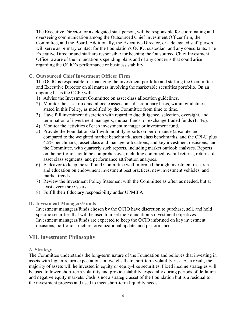The Executive Director, or a delegated staff person, will be responsible for coordinating and overseeing communication among the Outsourced Chief Investment Officer firm, the Committee, and the Board. Additionally, the Executive Director, or a delegated staff person, will serve as primary contact for the Foundation's OCIO, custodian, and any consultants. The Executive Director and staff are responsible for keeping the Outsourced Chief Investment Officer aware of the Foundation's spending plans and of any concerns that could arise regarding the OCIO's performance or business stability.

# **C. Outsourced Chief Investment Officer Firm**

The OCIO is responsible for managing the investment portfolio and staffing the Committee and Executive Director on all matters involving the marketable securities portfolio. On an ongoing basis the OCIO will:

- 1) Advise the Investment Committee on asset class allocation guidelines.
- 2) Monitor the asset mix and allocate assets on a discretionary basis, within guidelines stated in this Policy, as modified by the Committee from time to time.
- 3) Have full investment discretion with regard to due diligence, selection, oversight, and termination of investment managers, mutual funds, or exchange-traded funds (ETFs).
- 4) Monitor the activities of each investment manager or investment fund.
- 5) Provide the Foundation staff with monthly reports on performance (absolute and compared to the weighted market benchmark, asset class benchmarks, and the CPI-U plus 4.5% benchmark), asset class and manager allocations, and key investment decisions; and the Committee, with quarterly such reports, including market outlook analyses. Reports on the portfolio should be comprehensive, including combined overall returns, returns of asset class segments, and performance attribution analyses.
- 6) Endeavor to keep the staff and Committee well informed through investment research and education on endowment investment best practices, new investment vehicles, and market trends.
- 7) Review the Investment Policy Statement with the Committee as often as needed, but at least every three years.
- 8) Fulfill their fiduciary responsibility under UPMIFA.
- **D. Investment Managers/Funds**

Investment managers/funds chosen by the OCIO have discretion to purchase, sell, and hold specific securities that will be used to meet the Foundation's investment objectives. Investment managers/funds are expected to keep the OCIO informed on key investment decisions, portfolio structure, organizational update, and performance.

# **VII. Investment Philosophy**

# **A. Strategy**

The Committee understands the long-term nature of the Foundation and believes that investing in assets with higher return expectations outweighs their short-term volatility risk. As a result, the majority of assets will he invested in equity or equity-like securities. Fixed income strategies will be used to lower short-term volatility and provide stability, especially during periods of deflation and negative equity markets. Cash is not a strategic asset of the Foundation but is a residual to the investment process and used to meet short-term liquidity needs.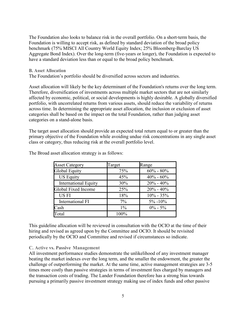The Foundation also looks to balance risk in the overall portfolio. On a short-term basis, the Foundation is willing to accept risk, as defined by standard deviation of the broad policy benchmark (75% MISCI All Country World Equity Index; 25% Bloomberg-Barclay US Aggregate Bond Index). Over the long-term (five-years or longer), the Foundation is expected to have a standard deviation less than or equal to the broad policy benchmark.

#### **B. Asset Allocation**

The Foundation's portfolio should be diversified across sectors and industries.

Asset allocation will likely be the key determinant of the Foundation's returns over the long term. Therefore, diversification of investments across multiple market sectors that are not similarly affected by economic, political, or social developments is highly desirable. A globally diversified portfolio, with uncorrelated returns from various assets, should reduce the variability of returns across time. In determining the appropriate asset allocation, the inclusion or exclusion of asset categories shall be based on the impact on the total Foundation, rather than judging asset categories on a stand-alone basis.

The target asset allocation should provide an expected total return equal to or greater than the primary objective of the Foundation while avoiding undue risk concentrations in any single asset class or category, thus reducing risk at the overall portfolio level.

| <b>Asset Category</b>       | Target | Range         |
|-----------------------------|--------|---------------|
| Global Equity               | 75%    | $60\% - 80\%$ |
| <b>US Equity</b>            | 45%    | $40\% - 60\%$ |
| <b>International Equity</b> | 30%    | $20\% - 40\%$ |
| Global Fixed Income         | 25%    | $20\% - 40\%$ |
| <b>USFI</b>                 | 18%    | $10\% - 35\%$ |
| International FI            | $7\%$  | $5\% - 10\%$  |
| Cash                        | $1\%$  | $0\% - 5\%$   |
| Total                       | 100%   |               |

The Broad asset allocation strategy is as follows:

This guideline allocation will be reviewed in consultation with the OCIO at the time of their hiring and revised as agreed upon by the Committee and OCIO. It should be revisited periodically by the OCIO and Committee and revised if circumstances so indicate.

#### **C. Active vs. Passive Management**

All investment performance studies demonstrate the unlikelihood of any investment manager beating the market indexes over the long term, and the smaller the endowment, the greater the challenge of outperforming the market. At the same time, active management strategies are 3-5 times more costly than passive strategies in terms of investment fees charged by managers and the transaction costs of trading. The Lander Foundation therefore has a strong bias towards pursuing a primarily passive investment strategy making use of index funds and other passive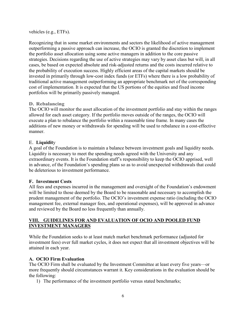vehicles (e.g., ETFs).

Recognizing that in some market environments and sectors the likelihood of active management outperforming a passive approach can increase, the OCIO is granted the discretion to implement the portfolio asset allocation using some active managers in addition to the core passive strategies. Decisions regarding the use of active strategies may vary by asset class but will, in all cases, be based on expected absolute and risk-adjusted returns and the costs incurred relative to the probability of execution success. Highly efficient areas of the capital markets should be invested in primarily through low-cost index funds (or ETFs) where there is a low probability of traditional active management outperforming an appropriate benchmark net of the corresponding cost of implementation. It is expected that the US portions of the equities and fixed income portfolios will be primarily passively managed.

# **D. Rebalancing**

The OCIO will monitor the asset allocation of the investment portfolio and stay within the ranges allowed for each asset category. If the portfolio moves outside of the ranges, the OCIO will execute a plan to rebalance the portfolio within a reasonable time frame. In many cases the additions of new money or withdrawals for spending will be used to rebalance in a cost-effective manner.

# E. **Liquidit**y

A goal of the Foundation is to maintain a balance between investment goals and liquidity needs. Liquidity is necessary to meet the spending needs agreed with the University and any extraordinary events. It is the Foundation staff's responsibility to keep the OCIO apprised, well in advance, of the Foundation's spending plans so as to avoid unexpected withdrawals that could be deleterious to investment performance.

# **F. Investment Costs**

All fees and expenses incurred in the management and oversight of the Foundation's endowment will be limited to those deemed by the Board to be reasonable and necessary to accomplish the prudent management of the portfolio. The OCIO's investment expense ratio (including the OCIO management fee, external manager fees, and operational expenses), will be approved in advance and reviewed by the Board no less frequently than annually.

# **VIII. GUIDELINES FOR AND EVALUATION OF OCIO AND POOLED FUND INVESTMENT MANAGERS**

While the Foundation seeks to at least match market benchmark performance (adjusted for investment fees) over full market cycles, it does not expect that all investment objectives will be attained in each year.

# **A. OCIO Firm Evaluation**

The OCIO Firm shall be evaluated by the Investment Committee at least every five years—or more frequently should circumstances warrant it. Key considerations in the evaluation should be the following:

1) The performance of the investment portfolio versus stated benchmarks;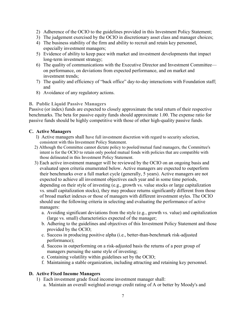- 2) Adherence of the OCIO to the guidelines provided in this Investment Policy Statement;
- 3) The judgement exercised by the OCIO in discretionary asset class and manager choices;
- 4) The business stability of the firm and ability to recruit and retain key personnel, especially investment managers;
- 5) Evidence of ability to keep pace with market and investment developments that impact long-term investment strategy;
- 6) The quality of communications with the Executive Director and Investment Committee on performance, on deviations from expected performance, and on market and investment trends;
- 7) The quality and efficiency of "back office" day-to-day interactions with Foundation staff; and
- 8) Avoidance of any regulatory actions.

## **B. Public Liquid Passive Managers**

Passive (or index) funds are expected to closely approximate the total return of their respective benchmarks. The beta for passive equity funds should approximate 1.00. The expense ratio for passive funds should be highly competitive with those of other high-quality passive funds.

## **C. Active Managers**

- l) Active managers shall have full investment discretion with regard to security selection, consistent with this Investment Policy Statement.
- 2) Although the Committee cannot dictate policy to pooled/mutual fund managers, the Committee's intent is for the OCIO to retain only pooled mutual fonds with policies that are compatible with those delineated in this Investment Policy Statement.
- 3) Each active investment manager will be reviewed by the OCIO on an ongoing basis and evaluated upon criteria enumerated below. Active managers are expected to outperform their benchmarks over a full market cycle (generally, 5 years). Active managers are not expected to achieve all investment objectives each year and in some time periods, depending on their style of investing (e.g., growth vs. value stocks or large capitalization vs. small capitalization stocks), they may produce returns significantly different from those of broad market indexes or those of managers with different investment styles. The OCIO should use the following criteria in selecting and evaluating the performance of active managers:
	- a. Avoiding significant deviations from the style (e.g., growth vs. value) and capitalization (large vs. small) characteristics expected of the manager;
	- b. Adhering to the guidelines and objectives of this Investment Policy Statement and those provided by the OCIO;
	- c. Success in producing positive alpha (i.e., better-than-benchmark risk-adjusted performance);
	- d. Success in outperforming on a risk-adjusted basis the returns of a peer group of managers pursuing the same style of investing;
	- e. Containing volatility within guidelines set by the OCIO;
	- f. Maintaining a stable organization, including attracting and retaining key personnel.

# **D. Active Fixed Income Managers**

- 1) Each investment grade fixed income investment manager shall:
	- a. Maintain an overall weighted average credit rating of A or better by Moody's and